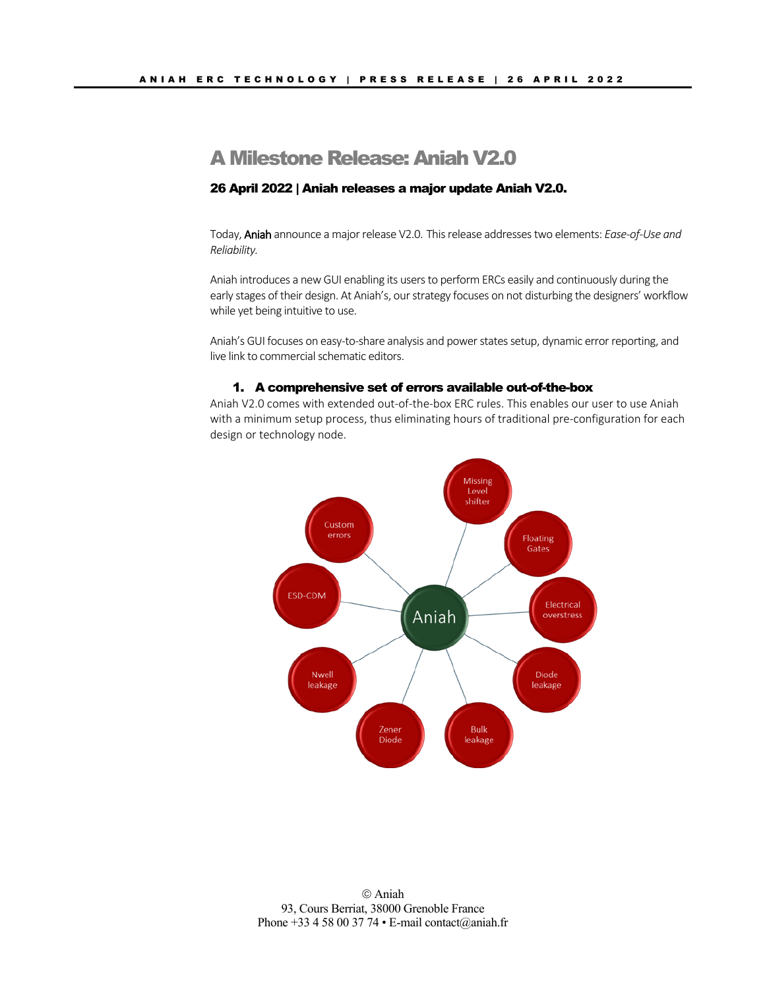# A Milestone Release: Aniah V2.0

## 26 April 2022 | Aniah releases a major update Aniah V2.0.

Today, Aniah announce a major release V2.0. This release addresses two elements: *Ease-of-Use and Reliability.* 

Aniah introduces a new GUI enabling its users to perform ERCs easily and continuously during the early stages of their design. At Aniah's, our strategy focuses on not disturbing the designers' workflow while yet being intuitive to use.

Aniah's GUI focuses on easy-to-share analysis and power states setup, dynamic error reporting, and live link to commercial schematic editors.

#### 1. A comprehensive set of errors available out-of-the-box

Aniah V2.0 comes with extended out-of-the-box ERC rules. This enables our user to use Aniah with a minimum setup process, thus eliminating hours of traditional pre-configuration for each design or technology node.

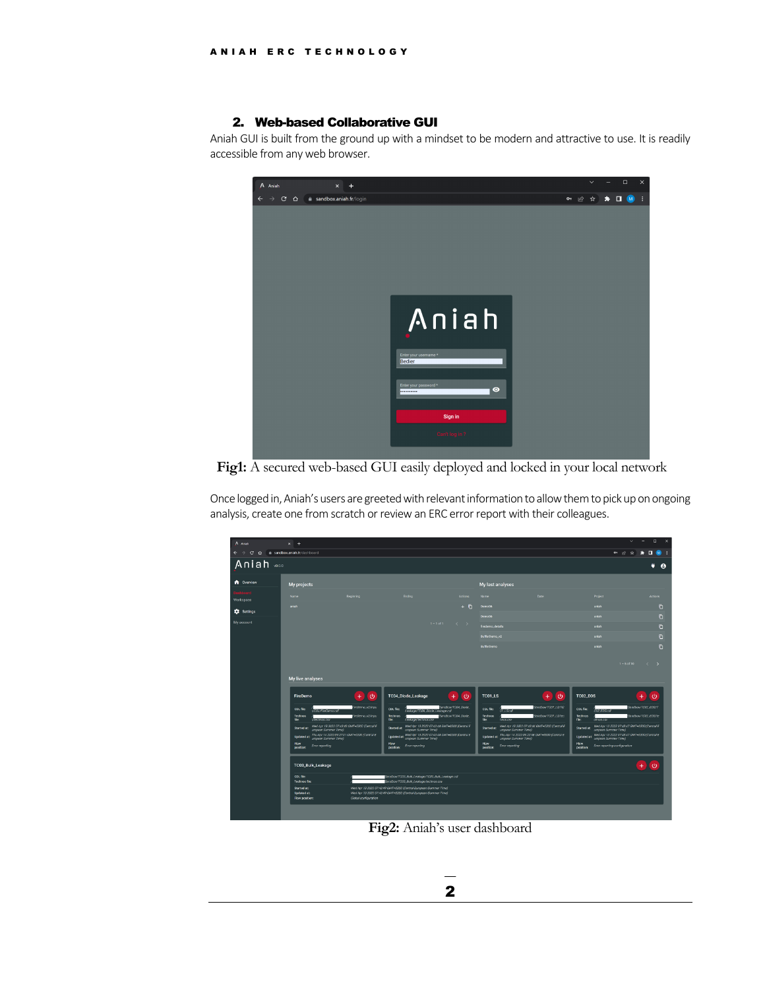### 2. Web-based Collaborative GUI

Aniah GUI is built from the ground up with a mindset to be modern and attractive to use. It is readily accessible from any web browser.



**Fig1:** A secured web-based GUI easily deployed and locked in your local network

Once logged in, Aniah's users are greeted with relevant information to allow them to pick up on ongoing analysis, create one from scratch or review an ERC error report with their colleagues.

| A Aniah                      | $\times$ +                                                                                                                                                                |                                              |                                                                                            |                         |                                                                                                    |                       |                                                                         | $\Box$<br>$\times$<br>$\sim$                       |  |
|------------------------------|---------------------------------------------------------------------------------------------------------------------------------------------------------------------------|----------------------------------------------|--------------------------------------------------------------------------------------------|-------------------------|----------------------------------------------------------------------------------------------------|-----------------------|-------------------------------------------------------------------------|----------------------------------------------------|--|
| $C$ $\Omega$<br>$\leftarrow$ | a sandbox aniah.fr/dashboard                                                                                                                                              |                                              |                                                                                            |                         |                                                                                                    |                       | $O1$ $\mathcal{A}2$                                                     | ω<br>$\Delta$<br>п<br>в.                           |  |
| Aniah was                    |                                                                                                                                                                           |                                              |                                                                                            |                         |                                                                                                    |                       |                                                                         | ü<br>$\bullet$                                     |  |
| <b>A</b> Overview            | My projects                                                                                                                                                               |                                              |                                                                                            |                         | My last analyses                                                                                   |                       |                                                                         |                                                    |  |
| Workspace                    | Name                                                                                                                                                                      | Beginning                                    | Ending                                                                                     | <b>Actions</b>          | Name                                                                                               | Date                  | Project                                                                 | Actions                                            |  |
| <b>12</b> Settings           | aniah                                                                                                                                                                     |                                              |                                                                                            | $+6$                    | Demo06                                                                                             |                       | aniah                                                                   | O                                                  |  |
| My account                   |                                                                                                                                                                           |                                              | $1 - 1$ of 1                                                                               | $\langle \cdot \rangle$ | Demo06                                                                                             |                       | aniah                                                                   | ō                                                  |  |
|                              |                                                                                                                                                                           |                                              |                                                                                            |                         | firedemo_details<br>BufferDemo_v2                                                                  |                       | aniah<br>aniah                                                          | Ō<br>n.                                            |  |
|                              |                                                                                                                                                                           |                                              |                                                                                            |                         | BufferDemo                                                                                         |                       | aniah                                                                   | Ō                                                  |  |
|                              |                                                                                                                                                                           |                                              |                                                                                            |                         |                                                                                                    |                       |                                                                         |                                                    |  |
|                              |                                                                                                                                                                           |                                              |                                                                                            |                         |                                                                                                    |                       |                                                                         | $1 - 5$ of 10<br>$\left\langle \cdot\right\rangle$ |  |
|                              |                                                                                                                                                                           |                                              |                                                                                            |                         |                                                                                                    |                       |                                                                         |                                                    |  |
|                              | My live analyses                                                                                                                                                          |                                              |                                                                                            |                         |                                                                                                    |                       |                                                                         |                                                    |  |
|                              | FireDemo                                                                                                                                                                  | $\circ$<br>÷                                 | TC04_Diode_Leakage                                                                         | $\circ$<br>÷            | TC01_LS                                                                                            | $\ddot{\circ}$<br>$+$ | TC02_EOS                                                                | ÷<br>$\circ$                                       |  |
|                              | CDL file<br><b>UCOL/FreiDemo.off</b>                                                                                                                                      | FireDemo_v2/inpu                             | CDL file:<br>Leakage/TC04.Diode.Leakage.cdf                                                | Sandbox/TCD4_Diode      | CDL file:<br>01.LSof                                                                               | Swidbox/TO01.LS/TC    | CDL file:<br>$CQ2$ $EOS$ $CQ$                                           | Sendbox/TC02_EOS/T                                 |  |
|                              | Technos<br>file:<br>t/technos.csv                                                                                                                                         | FreDemo_v2/inpu                              | Technos<br>file<br>Leskage/technos.csv                                                     | Sandbox/TC04.Diode.     | <b>Technos</b><br>file:<br>hnos.csv                                                                | Sandbox/T001_LS/tec   | Technos<br>$\overline{chros}$ $\overline{csw}$<br>file:                 | Sendbox/TC02_EOS/te                                |  |
|                              | Started at:<br>uropean Summer Time)                                                                                                                                       | Wed Apr 13 2022 07:43:43 GMT+0200 (Central E | Wed Apr 13 2022 07:43:44 GMT+0200 (Central E<br>Started at:<br><b>uropean Summer Time)</b> |                         | Wed Apr 13 2022 07:43:44 GMT+0200 (Central E<br>Started at:<br>uropean Summer Time)                |                       | Started at:<br>uropean Summer Time)                                     | Wed Apr 13 2022 07:43:47 GMT+0200 (Central E       |  |
|                              | <b>Updated at:</b><br>uropean Summer Time)<br><b>Flow</b>                                                                                                                 | Thu Apr 14 2022 09:27:01 GMT+0200 (Central E | Updeted at: Wed Apr 13 2022 07:43:44 GMT+0200 (Central E<br>Flow                           |                         | Thu Apr 14 2022 09:22:58 GMT+0200 (Central E<br>uropean Summer Time)<br>Updated at:<br><b>Flow</b> |                       | Updated at: Wed Apr 13 2022 07:43:47 GMT+0200 (Central E<br><b>Flow</b> |                                                    |  |
|                              | Error reporting<br>position:                                                                                                                                              |                                              | <b>Enor reporting</b><br>position:                                                         |                         | Error reporting<br>position:                                                                       |                       | Error reporting configuration<br>position:                              |                                                    |  |
|                              |                                                                                                                                                                           |                                              |                                                                                            |                         |                                                                                                    |                       |                                                                         |                                                    |  |
|                              | TC03_Bulk_Leakage                                                                                                                                                         |                                              |                                                                                            |                         |                                                                                                    |                       |                                                                         | ÷<br>$\circ$                                       |  |
|                              | COL file:<br><b>Technos file</b>                                                                                                                                          |                                              | Sandbox/TC03_Bulk_Leakage/TC03_Bulk_Leakage.cdl<br>Sandbox/TC03_Bulk_Leakage/technos.csv   |                         |                                                                                                    |                       |                                                                         |                                                    |  |
|                              | Wed Apr 13 2022 07:43:49 GMT+0200 (Central European Summer Time)<br>Started at:<br><b>Updated at:</b><br>Wed Apr 13 2022 07:43:49 GMT+0200 (Central European Summer Time) |                                              |                                                                                            |                         |                                                                                                    |                       |                                                                         |                                                    |  |
|                              | Flow position:                                                                                                                                                            | Global configuration                         |                                                                                            |                         |                                                                                                    |                       |                                                                         |                                                    |  |
|                              |                                                                                                                                                                           |                                              |                                                                                            |                         |                                                                                                    |                       |                                                                         |                                                    |  |

**Fig2:** Aniah's user dashboard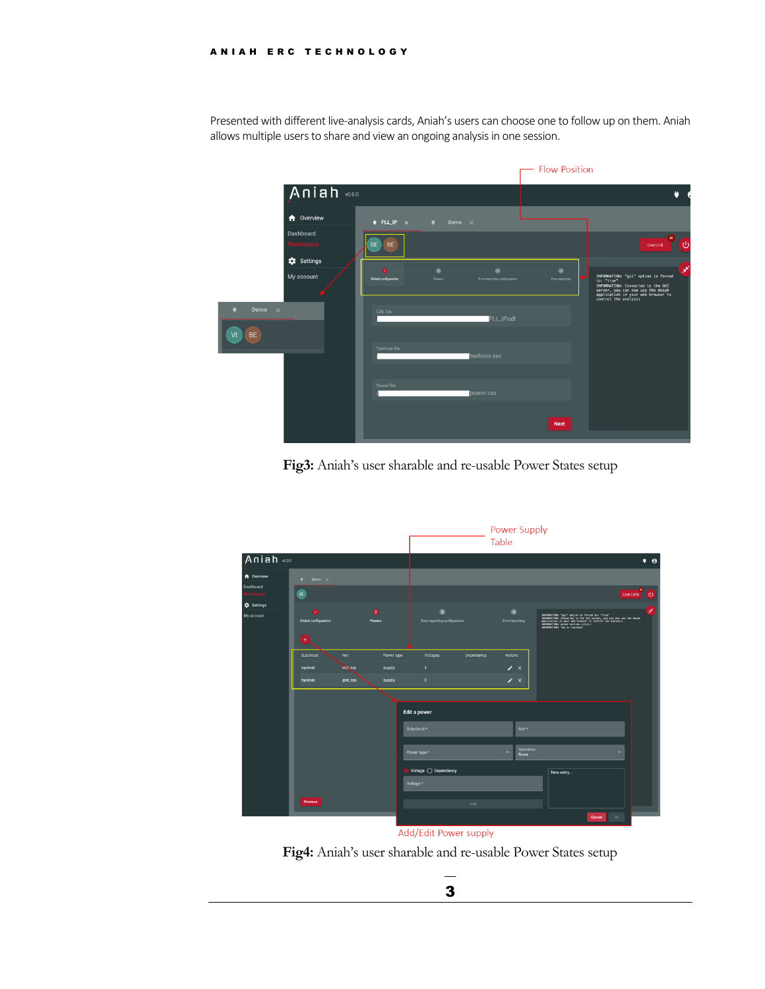Presented with different live-analysis cards, Aniah's users can choose one to follow up on them. Aniah allows multiple users to share and view an ongoing analysis in one session.

|                                             |                                                                                         | - Flow Position                                                                                                                                                                                      |  |  |  |
|---------------------------------------------|-----------------------------------------------------------------------------------------|------------------------------------------------------------------------------------------------------------------------------------------------------------------------------------------------------|--|--|--|
| Aniah voor                                  |                                                                                         | ö                                                                                                                                                                                                    |  |  |  |
| <b>A</b> Overview<br>Dashboard<br>Norkspace | $\Psi$ PLL_IP $\times$<br>۰<br>Demo ×<br><b>BE</b><br>BE                                | ിധ<br>LiveLink                                                                                                                                                                                       |  |  |  |
| <b>1</b> Settings<br>My account             | $\circ$<br>$\bullet$<br>Global configuration<br>Powers<br>Error reporting configuration | $\circ$<br>×<br>INFORMATION: "gui" option is forced<br>Error reporting<br>to: "true"<br>INFORMATION: Connected to the GUI<br>server, you can now use the Aniah<br>application in your web browser to |  |  |  |
| Demo $\times$<br><b>BE</b><br>VI            | CDL file<br>PLL_IP.cdl                                                                  | control the analysis                                                                                                                                                                                 |  |  |  |
|                                             | Technos file<br>technos.csv                                                             |                                                                                                                                                                                                      |  |  |  |
|                                             | Power file<br>power.csv                                                                 |                                                                                                                                                                                                      |  |  |  |
|                                             |                                                                                         | <b>Next</b>                                                                                                                                                                                          |  |  |  |

**Fig3:** Aniah's user sharable and re-usable Power States setup

|                                                                                               |                                                            |                           |                                | Power Supply<br>Table                            |            |                                       |                                                                                                                                                                                                                                            |                     |
|-----------------------------------------------------------------------------------------------|------------------------------------------------------------|---------------------------|--------------------------------|--------------------------------------------------|------------|---------------------------------------|--------------------------------------------------------------------------------------------------------------------------------------------------------------------------------------------------------------------------------------------|---------------------|
| Aniah voo                                                                                     |                                                            |                           |                                |                                                  |            |                                       |                                                                                                                                                                                                                                            | $\bullet$ $\bullet$ |
| <b>f</b> Overview<br>Dashboard<br>$\overline{\phantom{a}}$<br><b>1</b> Settings<br>My account | $\bullet$ Demo $\times$<br>BE                              |                           |                                |                                                  |            |                                       |                                                                                                                                                                                                                                            | LiveLink U          |
|                                                                                               | $\bullet$<br>U<br>Global configuration<br>Powers<br>$^{+}$ |                           |                                | $\sqrt{3}$<br>Error reporting configuration      |            | и<br><b>Error reporting</b>           | INFORMATION: "gui" option is forced to: "true"<br>INFORMATION: Connected to the GZI server, you can now use the Aniah<br>application in your web browser to control the mealysis<br>INFORMATION: Aniah version vil.e.1<br>INFORMATION: Top |                     |
|                                                                                               | Subcircuit<br>toplevel<br>toplevel                         | Net<br>VOL.100<br>gnd_top | Power type<br>supply<br>supply | Voltages<br>$\overline{\mathbf{3}}$<br>$\bullet$ | Dependency | Actions<br>$\lambda$ x<br>$\lambda$ x |                                                                                                                                                                                                                                            |                     |
|                                                                                               |                                                            |                           |                                | Edit a power<br>Subcircuit *<br>Power type *     |            | $Net*$<br>Dependency<br>None          |                                                                                                                                                                                                                                            |                     |
|                                                                                               | Previous                                                   |                           |                                | Voltage  O Dependency<br>Voltage *               | Add        |                                       | New entry                                                                                                                                                                                                                                  |                     |
|                                                                                               |                                                            |                           |                                | $\sim$ $\sim$ $\sim$ $\sim$                      |            |                                       | 0k<br>Cancel                                                                                                                                                                                                                               |                     |

Add/Edit Power supply

**Fig4:** Aniah's user sharable and re-usable Power States setup